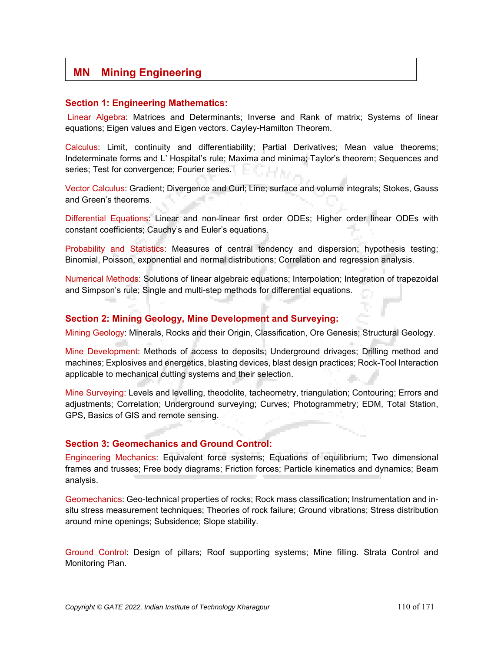# **MN** | Mining Engineering

#### **Section 1: Engineering Mathematics:**

Linear Algebra: Matrices and Determinants; Inverse and Rank of matrix; Systems of linear equations; Eigen values and Eigen vectors. Cayley-Hamilton Theorem.

Calculus: Limit, continuity and differentiability; Partial Derivatives; Mean value theorems; Indeterminate forms and L' Hospital's rule; Maxima and minima; Taylor's theorem; Sequences and series; Test for convergence; Fourier series.

Vector Calculus: Gradient; Divergence and Curl; Line; surface and volume integrals; Stokes, Gauss and Green's theorems.

Differential Equations: Linear and non-linear first order ODEs; Higher order linear ODEs with constant coefficients; Cauchy's and Euler's equations.

Probability and Statistics: Measures of central tendency and dispersion; hypothesis testing; Binomial, Poisson, exponential and normal distributions; Correlation and regression analysis.

Numerical Methods: Solutions of linear algebraic equations; Interpolation; Integration of trapezoidal and Simpson's rule; Single and multi-step methods for differential equations.

#### **Section 2: Mining Geology, Mine Development and Surveying:**

Mining Geology: Minerals, Rocks and their Origin, Classification, Ore Genesis; Structural Geology.

Mine Development: Methods of access to deposits; Underground drivages; Drilling method and machines; Explosives and energetics, blasting devices, blast design practices; Rock-Tool Interaction applicable to mechanical cutting systems and their selection.

Mine Surveying: Levels and levelling, theodolite, tacheometry, triangulation; Contouring; Errors and adjustments; Correlation; Underground surveying; Curves; Photogrammetry; EDM, Total Station, GPS, Basics of GIS and remote sensing.

#### **Section 3: Geomechanics and Ground Control:**

Engineering Mechanics: Equivalent force systems; Equations of equilibrium; Two dimensional frames and trusses; Free body diagrams; Friction forces; Particle kinematics and dynamics; Beam analysis.

Geomechanics: Geo-technical properties of rocks; Rock mass classification; Instrumentation and insitu stress measurement techniques; Theories of rock failure; Ground vibrations; Stress distribution around mine openings; Subsidence; Slope stability.

Ground Control: Design of pillars; Roof supporting systems; Mine filling. Strata Control and Monitoring Plan.